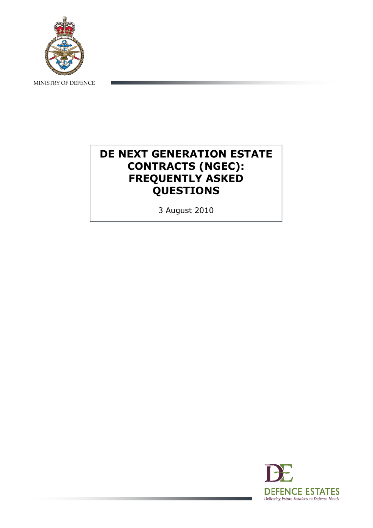

MINISTRY OF DEFENCE

# DE NEXT GENERATION ESTATE CONTRACTS (NGEC): FREQUENTLY ASKED QUESTIONS

3 August 2010

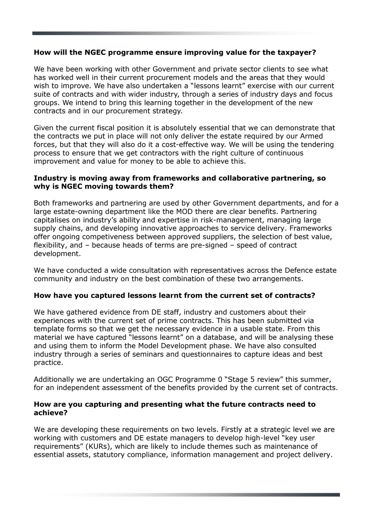# How will the NGEC programme ensure improving value for the taxpayer?

We have been working with other Government and private sector clients to see what has worked well in their current procurement models and the areas that they would wish to improve. We have also undertaken a "lessons learnt" exercise with our current suite of contracts and with wider industry, through a series of industry days and focus groups. We intend to bring this learning together in the development of the new contracts and in our procurement strategy.

Given the current fiscal position it is absolutely essential that we can demonstrate that the contracts we put in place will not only deliver the estate required by our Armed forces, but that they will also do it a cost-effective way. We will be using the tendering process to ensure that we get contractors with the right culture of continuous improvement and value for money to be able to achieve this.

#### Industry is moving away from frameworks and collaborative partnering, so why is NGEC moving towards them?

Both frameworks and partnering are used by other Government departments, and for a large estate-owning department like the MOD there are clear benefits. Partnering capitalises on industry's ability and expertise in risk-management, managing large supply chains, and developing innovative approaches to service delivery. Frameworks offer ongoing competiveness between approved suppliers, the selection of best value, flexibility, and – because heads of terms are pre-signed – speed of contract development.

We have conducted a wide consultation with representatives across the Defence estate community and industry on the best combination of these two arrangements.

#### How have you captured lessons learnt from the current set of contracts?

We have gathered evidence from DE staff, industry and customers about their experiences with the current set of prime contracts. This has been submitted via template forms so that we get the necessary evidence in a usable state. From this material we have captured "lessons learnt" on a database, and will be analysing these and using them to inform the Model Development phase. We have also consulted industry through a series of seminars and questionnaires to capture ideas and best practice.

Additionally we are undertaking an OGC Programme 0 "Stage 5 review" this summer, for an independent assessment of the benefits provided by the current set of contracts.

#### How are you capturing and presenting what the future contracts need to achieve?

We are developing these requirements on two levels. Firstly at a strategic level we are working with customers and DE estate managers to develop high-level "key user requirements" (KURs), which are likely to include themes such as maintenance of essential assets, statutory compliance, information management and project delivery.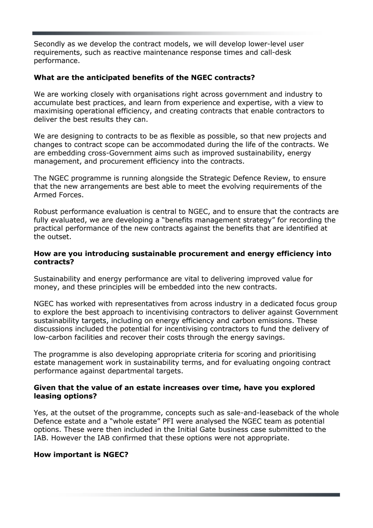Secondly as we develop the contract models, we will develop lower-level user requirements, such as reactive maintenance response times and call-desk performance.

# What are the anticipated benefits of the NGEC contracts?

We are working closely with organisations right across government and industry to accumulate best practices, and learn from experience and expertise, with a view to maximising operational efficiency, and creating contracts that enable contractors to deliver the best results they can.

We are designing to contracts to be as flexible as possible, so that new projects and changes to contract scope can be accommodated during the life of the contracts. We are embedding cross-Government aims such as improved sustainability, energy management, and procurement efficiency into the contracts.

The NGEC programme is running alongside the Strategic Defence Review, to ensure that the new arrangements are best able to meet the evolving requirements of the Armed Forces.

Robust performance evaluation is central to NGEC, and to ensure that the contracts are fully evaluated, we are developing a "benefits management strategy" for recording the practical performance of the new contracts against the benefits that are identified at the outset.

# How are you introducing sustainable procurement and energy efficiency into contracts?

Sustainability and energy performance are vital to delivering improved value for money, and these principles will be embedded into the new contracts.

NGEC has worked with representatives from across industry in a dedicated focus group to explore the best approach to incentivising contractors to deliver against Government sustainability targets, including on energy efficiency and carbon emissions. These discussions included the potential for incentivising contractors to fund the delivery of low-carbon facilities and recover their costs through the energy savings.

The programme is also developing appropriate criteria for scoring and prioritising estate management work in sustainability terms, and for evaluating ongoing contract performance against departmental targets.

#### Given that the value of an estate increases over time, have you explored leasing options?

Yes, at the outset of the programme, concepts such as sale-and-leaseback of the whole Defence estate and a "whole estate" PFI were analysed the NGEC team as potential options. These were then included in the Initial Gate business case submitted to the IAB. However the IAB confirmed that these options were not appropriate.

# How important is NGEC?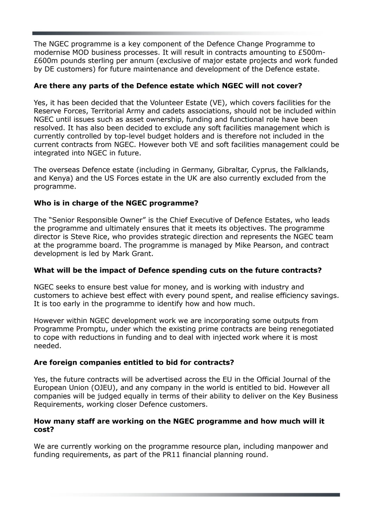The NGEC programme is a key component of the Defence Change Programme to modernise MOD business processes. It will result in contracts amounting to £500m- £600m pounds sterling per annum (exclusive of major estate projects and work funded by DE customers) for future maintenance and development of the Defence estate.

# Are there any parts of the Defence estate which NGEC will not cover?

Yes, it has been decided that the Volunteer Estate (VE), which covers facilities for the Reserve Forces, Territorial Army and cadets associations, should not be included within NGEC until issues such as asset ownership, funding and functional role have been resolved. It has also been decided to exclude any soft facilities management which is currently controlled by top-level budget holders and is therefore not included in the current contracts from NGEC. However both VE and soft facilities management could be integrated into NGEC in future.

The overseas Defence estate (including in Germany, Gibraltar, Cyprus, the Falklands, and Kenya) and the US Forces estate in the UK are also currently excluded from the programme.

# Who is in charge of the NGEC programme?

The "Senior Responsible Owner" is the Chief Executive of Defence Estates, who leads the programme and ultimately ensures that it meets its objectives. The programme director is Steve Rice, who provides strategic direction and represents the NGEC team at the programme board. The programme is managed by Mike Pearson, and contract development is led by Mark Grant.

# What will be the impact of Defence spending cuts on the future contracts?

NGEC seeks to ensure best value for money, and is working with industry and customers to achieve best effect with every pound spent, and realise efficiency savings. It is too early in the programme to identify how and how much.

However within NGEC development work we are incorporating some outputs from Programme Promptu, under which the existing prime contracts are being renegotiated to cope with reductions in funding and to deal with injected work where it is most needed.

# Are foreign companies entitled to bid for contracts?

Yes, the future contracts will be advertised across the EU in the Official Journal of the European Union (OJEU), and any company in the world is entitled to bid. However all companies will be judged equally in terms of their ability to deliver on the Key Business Requirements, working closer Defence customers.

# How many staff are working on the NGEC programme and how much will it cost?

We are currently working on the programme resource plan, including manpower and funding requirements, as part of the PR11 financial planning round.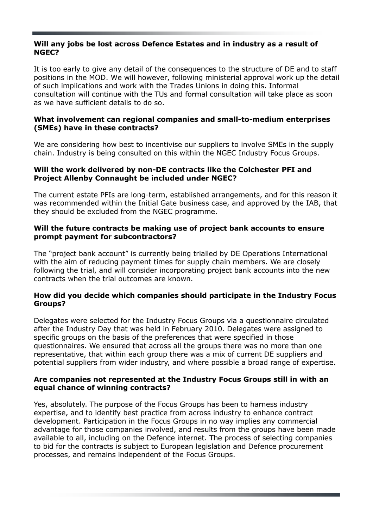#### Will any jobs be lost across Defence Estates and in industry as a result of NGEC?

It is too early to give any detail of the consequences to the structure of DE and to staff positions in the MOD. We will however, following ministerial approval work up the detail of such implications and work with the Trades Unions in doing this. Informal consultation will continue with the TUs and formal consultation will take place as soon as we have sufficient details to do so.

# What involvement can regional companies and small-to-medium enterprises (SMEs) have in these contracts?

We are considering how best to incentivise our suppliers to involve SMEs in the supply chain. Industry is being consulted on this within the NGEC Industry Focus Groups.

#### Will the work delivered by non-DE contracts like the Colchester PFI and Project Allenby Connaught be included under NGEC?

The current estate PFIs are long-term, established arrangements, and for this reason it was recommended within the Initial Gate business case, and approved by the IAB, that they should be excluded from the NGEC programme.

# Will the future contracts be making use of project bank accounts to ensure prompt payment for subcontractors?

The "project bank account" is currently being trialled by DE Operations International with the aim of reducing payment times for supply chain members. We are closely following the trial, and will consider incorporating project bank accounts into the new contracts when the trial outcomes are known.

# How did you decide which companies should participate in the Industry Focus Groups?

Delegates were selected for the Industry Focus Groups via a questionnaire circulated after the Industry Day that was held in February 2010. Delegates were assigned to specific groups on the basis of the preferences that were specified in those questionnaires. We ensured that across all the groups there was no more than one representative, that within each group there was a mix of current DE suppliers and potential suppliers from wider industry, and where possible a broad range of expertise.

#### Are companies not represented at the Industry Focus Groups still in with an equal chance of winning contracts?

Yes, absolutely. The purpose of the Focus Groups has been to harness industry expertise, and to identify best practice from across industry to enhance contract development. Participation in the Focus Groups in no way implies any commercial advantage for those companies involved, and results from the groups have been made available to all, including on the Defence internet. The process of selecting companies to bid for the contracts is subject to European legislation and Defence procurement processes, and remains independent of the Focus Groups.